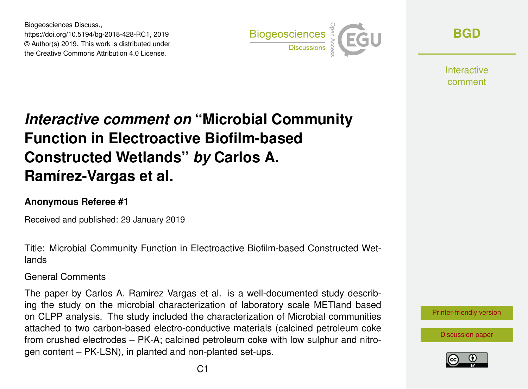Biogeosciences Discuss., https://doi.org/10.5194/bg-2018-428-RC1, 2019 © Author(s) 2019. This work is distributed under the Creative Commons Attribution 4.0 License.



**[BGD](https://www.biogeosciences-discuss.net/)**

**Interactive** comment

## *Interactive comment on* **"Microbial Community Function in Electroactive Biofilm-based Constructed Wetlands"** *by* **Carlos A. Ramírez-Vargas et al.**

## **Anonymous Referee #1**

Received and published: 29 January 2019

Title: Microbial Community Function in Electroactive Biofilm-based Constructed Wetlands

General Comments

The paper by Carlos A. Ramirez Vargas et al. is a well-documented study describing the study on the microbial characterization of laboratory scale METland based on CLPP analysis. The study included the characterization of Microbial communities attached to two carbon-based electro-conductive materials (calcined petroleum coke from crushed electrodes – PK-A; calcined petroleum coke with low sulphur and nitrogen content – PK-LSN), in planted and non-planted set-ups.



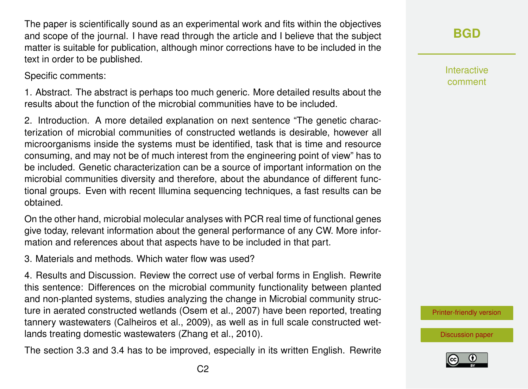The paper is scientifically sound as an experimental work and fits within the objectives and scope of the journal. I have read through the article and I believe that the subject matter is suitable for publication, although minor corrections have to be included in the text in order to be published.

Specific comments:

1. Abstract. The abstract is perhaps too much generic. More detailed results about the results about the function of the microbial communities have to be included.

2. Introduction. A more detailed explanation on next sentence "The genetic characterization of microbial communities of constructed wetlands is desirable, however all microorganisms inside the systems must be identified, task that is time and resource consuming, and may not be of much interest from the engineering point of view" has to be included. Genetic characterization can be a source of important information on the microbial communities diversity and therefore, about the abundance of different functional groups. Even with recent Illumina sequencing techniques, a fast results can be obtained.

On the other hand, microbial molecular analyses with PCR real time of functional genes give today, relevant information about the general performance of any CW. More information and references about that aspects have to be included in that part.

3. Materials and methods. Which water flow was used?

4. Results and Discussion. Review the correct use of verbal forms in English. Rewrite this sentence: Differences on the microbial community functionality between planted and non-planted systems, studies analyzing the change in Microbial community structure in aerated constructed wetlands (Osem et al., 2007) have been reported, treating tannery wastewaters (Calheiros et al., 2009), as well as in full scale constructed wetlands treating domestic wastewaters (Zhang et al., 2010).

The section 3.3 and 3.4 has to be improved, especially in its written English. Rewrite

**[BGD](https://www.biogeosciences-discuss.net/)**

Interactive comment

[Printer-friendly version](https://www.biogeosciences-discuss.net/bg-2018-428/bg-2018-428-RC1-print.pdf)

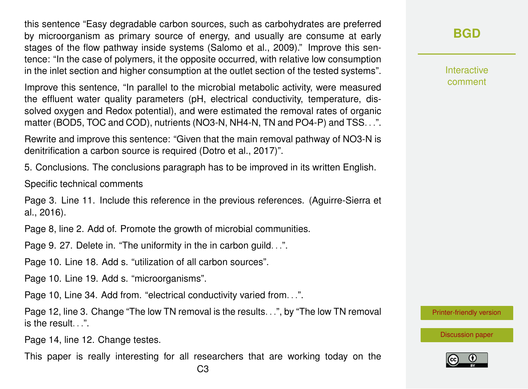this sentence "Easy degradable carbon sources, such as carbohydrates are preferred by microorganism as primary source of energy, and usually are consume at early stages of the flow pathway inside systems (Salomo et al., 2009)." Improve this sentence: "In the case of polymers, it the opposite occurred, with relative low consumption in the inlet section and higher consumption at the outlet section of the tested systems".

Improve this sentence, "In parallel to the microbial metabolic activity, were measured the effluent water quality parameters (pH, electrical conductivity, temperature, dissolved oxygen and Redox potential), and were estimated the removal rates of organic matter (BOD5, TOC and COD), nutrients (NO3-N, NH4-N, TN and PO4-P) and TSS...".

Rewrite and improve this sentence: "Given that the main removal pathway of NO3-N is denitrification a carbon source is required (Dotro et al., 2017)".

5. Conclusions. The conclusions paragraph has to be improved in its written English.

Specific technical comments

Page 3. Line 11. Include this reference in the previous references. (Aguirre-Sierra et al., 2016).

Page 8, line 2. Add of. Promote the growth of microbial communities.

Page 9. 27. Delete in. "The uniformity in the in carbon guild. . .".

Page 10. Line 18. Add s. "utilization of all carbon sources".

Page 10. Line 19. Add s. "microorganisms".

Page 10, Line 34. Add from. "electrical conductivity varied from. . .".

Page 12, line 3. Change "The low TN removal is the results. . .", by "The low TN removal is the result.  $"$ .

Page 14, line 12. Change testes.

This paper is really interesting for all researchers that are working today on the

**[BGD](https://www.biogeosciences-discuss.net/)**

Interactive comment

[Printer-friendly version](https://www.biogeosciences-discuss.net/bg-2018-428/bg-2018-428-RC1-print.pdf)